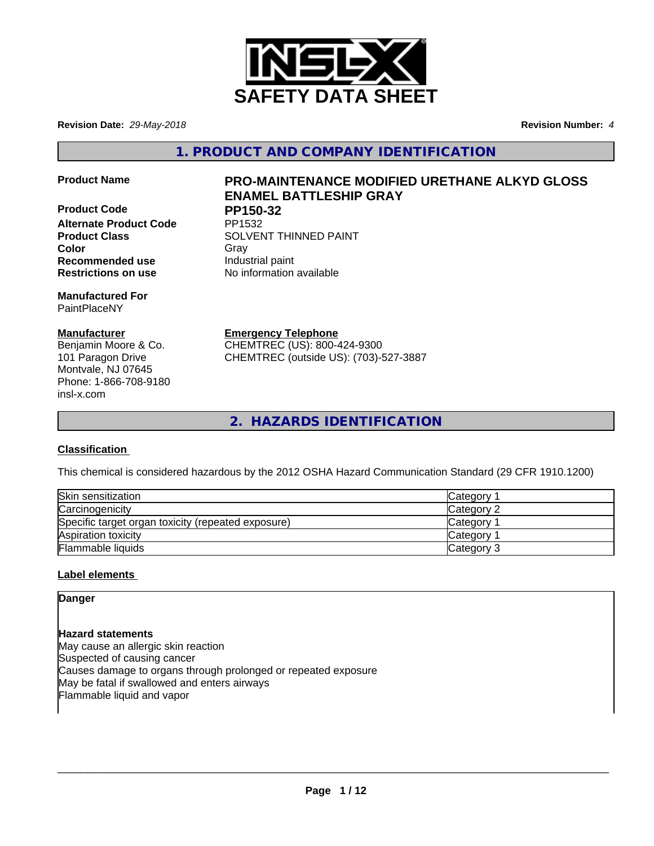

**Revision Date:** *29-May-2018* **Revision Number:** *4*

**1. PRODUCT AND COMPANY IDENTIFICATION**

**Product Code PP150-32 Alternate Product Code Recommended use Industrial paint** 

**Manufactured For** PaintPlaceNY

## **Manufacturer**

Benjamin Moore & Co. 101 Paragon Drive Montvale, NJ 07645 Phone: 1-866-708-9180 insl-x.com

# **Product Name PRO-MAINTENANCE MODIFIED URETHANE ALKYD GLOSS ENAMEL BATTLESHIP GRAY**

**Product Class SOLVENT THINNED PAINT Color** Gray Gray **Restrictions on use** No information available

> **Emergency Telephone** CHEMTREC (US): 800-424-9300

CHEMTREC (outside US): (703)-527-3887

**2. HAZARDS IDENTIFICATION**

## **Classification**

This chemical is considered hazardous by the 2012 OSHA Hazard Communication Standard (29 CFR 1910.1200)

| Skin sensitization                                 | Category        |
|----------------------------------------------------|-----------------|
| Carcinogenicity                                    | Category 2      |
| Specific target organ toxicity (repeated exposure) | <b>Category</b> |
| Aspiration toxicity                                | <b>Category</b> |
| Flammable liquids                                  | Category 3      |

## **Label elements**

**Danger**

**Hazard statements** May cause an allergic skin reaction Suspected of causing cancer Causes damage to organs through prolonged or repeated exposure May be fatal if swallowed and enters airways Flammable liquid and vapor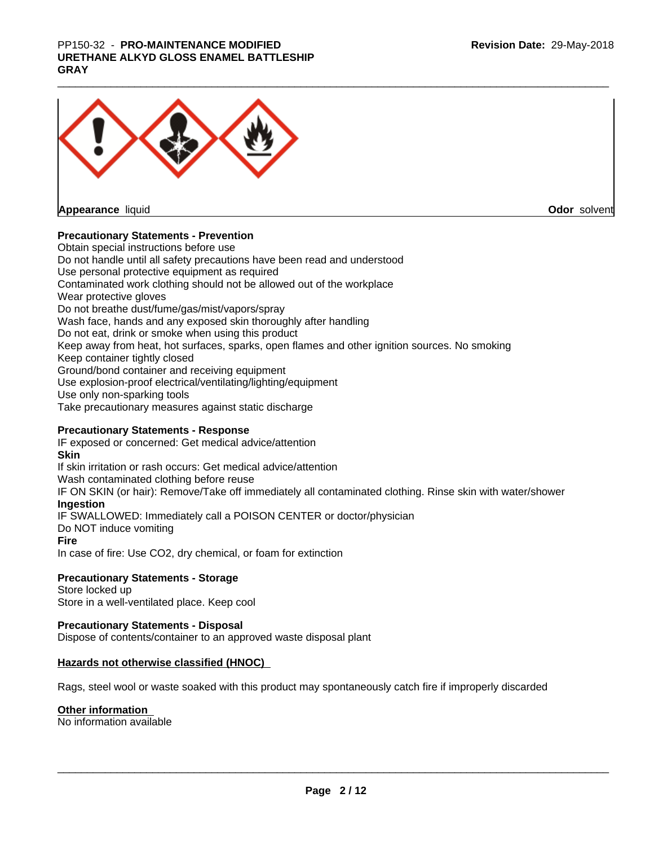# PP150-32 - **PRO-MAINTENANCE MODIFIED**<br>URETHANE ALKYD GLOSS ENAMEL BATTLESHIP<br>GRAY **URETHANE ALKYD GLOSS ENAMEL BATTLESHIP GRAY**



**Odor** solvent

## **Precautionary Statements - Prevention**

Obtain special instructions before use Do not handle until all safety precautions have been read and understood Use personal protective equipment as required Contaminated work clothing should not be allowed out of the workplace Wear protective gloves Do not breathe dust/fume/gas/mist/vapors/spray Wash face, hands and any exposed skin thoroughly after handling Do not eat, drink or smoke when using this product Keep away from heat, hot surfaces, sparks, open flames and other ignition sources. No smoking Keep container tightly closed Ground/bond container and receiving equipment Use explosion-proof electrical/ventilating/lighting/equipment Use only non-sparking tools Take precautionary measures against static discharge

### **Precautionary Statements - Response**

IF exposed or concerned: Get medical advice/attention **Skin** If skin irritation or rash occurs: Get medical advice/attention Wash contaminated clothing before reuse IF ON SKIN (or hair): Remove/Take off immediately all contaminated clothing. Rinse skin with water/shower **Ingestion** IF SWALLOWED: Immediately call a POISON CENTER or doctor/physician Do NOT induce vomiting **Fire** In case of fire: Use CO2, dry chemical, or foam for extinction

## **Precautionary Statements - Storage**

Store locked up Store in a well-ventilated place. Keep cool

### **Precautionary Statements - Disposal**

Dispose of contents/container to an approved waste disposal plant

### **Hazards not otherwise classified (HNOC)**

Rags, steel wool or waste soaked with this product may spontaneously catch fire if improperly discarded

### **Other information**

No information available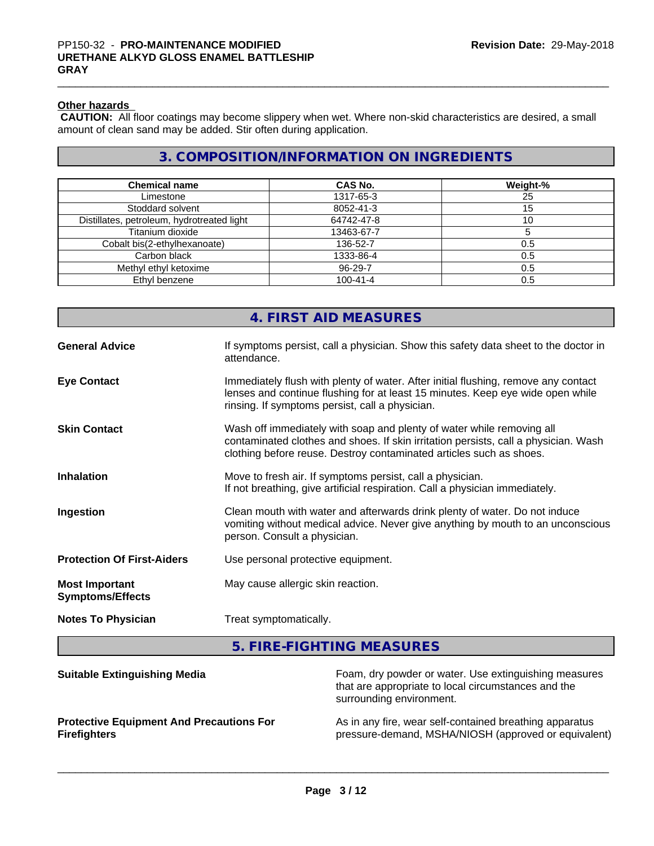## **Other hazards**

 **CAUTION:** All floor coatings may become slippery when wet. Where non-skid characteristics are desired, a small amount of clean sand may be added. Stir often during application.

## **3. COMPOSITION/INFORMATION ON INGREDIENTS**

| <b>Chemical name</b>                       | <b>CAS No.</b> | Weight-% |
|--------------------------------------------|----------------|----------|
| Limestone                                  | 1317-65-3      | 25       |
| Stoddard solvent                           | 8052-41-3      | 15       |
| Distillates, petroleum, hydrotreated light | 64742-47-8     |          |
| Titanium dioxide                           | 13463-67-7     |          |
| Cobalt bis(2-ethylhexanoate)               | 136-52-7       | 0.5      |
| Carbon black                               | 1333-86-4      | 0.5      |
| Methyl ethyl ketoxime                      | 96-29-7        | 0.5      |
| Ethyl benzene                              | $100 - 41 - 4$ | 0.5      |

|                                                  | 4. FIRST AID MEASURES                                                                                                                                                                                                               |
|--------------------------------------------------|-------------------------------------------------------------------------------------------------------------------------------------------------------------------------------------------------------------------------------------|
| <b>General Advice</b>                            | If symptoms persist, call a physician. Show this safety data sheet to the doctor in<br>attendance.                                                                                                                                  |
| <b>Eye Contact</b>                               | Immediately flush with plenty of water. After initial flushing, remove any contact<br>lenses and continue flushing for at least 15 minutes. Keep eye wide open while<br>rinsing. If symptoms persist, call a physician.             |
| <b>Skin Contact</b>                              | Wash off immediately with soap and plenty of water while removing all<br>contaminated clothes and shoes. If skin irritation persists, call a physician. Wash<br>clothing before reuse. Destroy contaminated articles such as shoes. |
| <b>Inhalation</b>                                | Move to fresh air. If symptoms persist, call a physician.<br>If not breathing, give artificial respiration. Call a physician immediately.                                                                                           |
| Ingestion                                        | Clean mouth with water and afterwards drink plenty of water. Do not induce<br>vomiting without medical advice. Never give anything by mouth to an unconscious<br>person. Consult a physician.                                       |
| <b>Protection Of First-Aiders</b>                | Use personal protective equipment.                                                                                                                                                                                                  |
| <b>Most Important</b><br><b>Symptoms/Effects</b> | May cause allergic skin reaction.                                                                                                                                                                                                   |
| <b>Notes To Physician</b>                        | Treat symptomatically.                                                                                                                                                                                                              |

**5. FIRE-FIGHTING MEASURES**

| <b>Suitable Extinguishing Media</b>             | Foam, dry powder or water. Use extinguishing measures<br>that are appropriate to local circumstances and the<br>surrounding environment. |
|-------------------------------------------------|------------------------------------------------------------------------------------------------------------------------------------------|
| <b>Protective Equipment And Precautions For</b> | As in any fire, wear self-contained breathing apparatus                                                                                  |
| <b>Firefighters</b>                             | pressure-demand, MSHA/NIOSH (approved or equivalent)                                                                                     |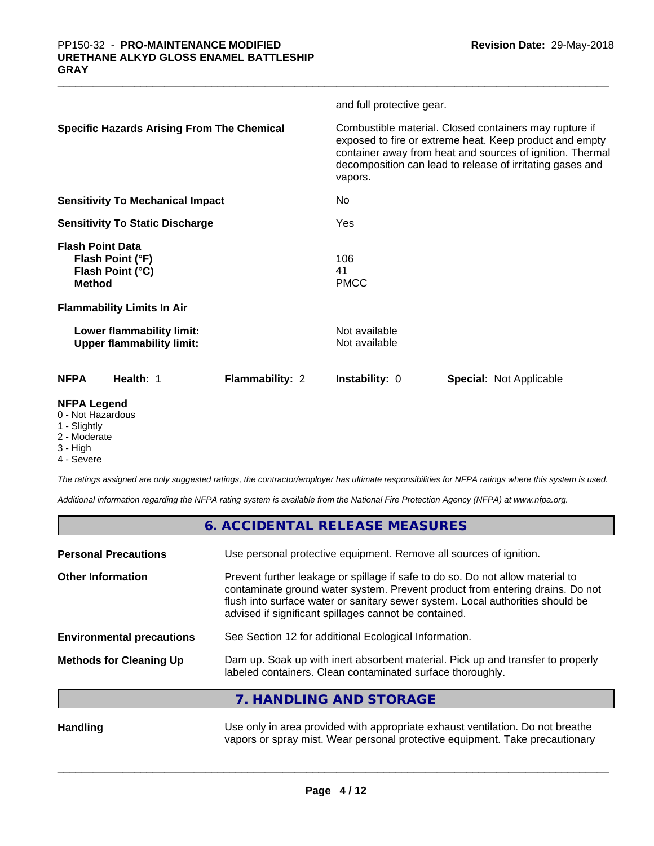|                                                                                  | and full protective gear.                                                                                                                                                                                                                              |
|----------------------------------------------------------------------------------|--------------------------------------------------------------------------------------------------------------------------------------------------------------------------------------------------------------------------------------------------------|
| <b>Specific Hazards Arising From The Chemical</b>                                | Combustible material. Closed containers may rupture if<br>exposed to fire or extreme heat. Keep product and empty<br>container away from heat and sources of ignition. Thermal<br>decomposition can lead to release of irritating gases and<br>vapors. |
| <b>Sensitivity To Mechanical Impact</b>                                          | No.                                                                                                                                                                                                                                                    |
| <b>Sensitivity To Static Discharge</b>                                           | Yes                                                                                                                                                                                                                                                    |
| <b>Flash Point Data</b><br>Flash Point (°F)<br>Flash Point (°C)<br><b>Method</b> | 106<br>41<br><b>PMCC</b>                                                                                                                                                                                                                               |
| <b>Flammability Limits In Air</b>                                                |                                                                                                                                                                                                                                                        |
| Lower flammability limit:<br><b>Upper flammability limit:</b>                    | Not available<br>Not available                                                                                                                                                                                                                         |
| <b>Flammability: 2</b><br><b>NFPA</b><br>Health: 1                               | <b>Special: Not Applicable</b><br><b>Instability: 0</b>                                                                                                                                                                                                |
| <b>NFPA Legend</b><br>0 - Not Hazardous                                          |                                                                                                                                                                                                                                                        |

- 
- 1 Slightly
- 2 Moderate
- 3 High
- 4 Severe

*The ratings assigned are only suggested ratings, the contractor/employer has ultimate responsibilities for NFPA ratings where this system is used.*

*Additional information regarding the NFPA rating system is available from the National Fire Protection Agency (NFPA) at www.nfpa.org.*

|                                  | 6. ACCIDENTAL RELEASE MEASURES                                                                                                                                                                                                                                                                             |
|----------------------------------|------------------------------------------------------------------------------------------------------------------------------------------------------------------------------------------------------------------------------------------------------------------------------------------------------------|
| <b>Personal Precautions</b>      | Use personal protective equipment. Remove all sources of ignition.                                                                                                                                                                                                                                         |
| <b>Other Information</b>         | Prevent further leakage or spillage if safe to do so. Do not allow material to<br>contaminate ground water system. Prevent product from entering drains. Do not<br>flush into surface water or sanitary sewer system. Local authorities should be<br>advised if significant spillages cannot be contained. |
| <b>Environmental precautions</b> | See Section 12 for additional Ecological Information.                                                                                                                                                                                                                                                      |
| <b>Methods for Cleaning Up</b>   | Dam up. Soak up with inert absorbent material. Pick up and transfer to properly<br>labeled containers. Clean contaminated surface thoroughly.                                                                                                                                                              |
|                                  | 7. HANDLING AND STORAGE                                                                                                                                                                                                                                                                                    |
| Uondling                         | Les only in arso provided with appropriate exhaust ventilation. De not breather                                                                                                                                                                                                                            |

**Handling Example 20** Use only in area provided with appropriate exhaust ventilation. Do not breathe vapors or spray mist. Wear personal protective equipment. Take precautionary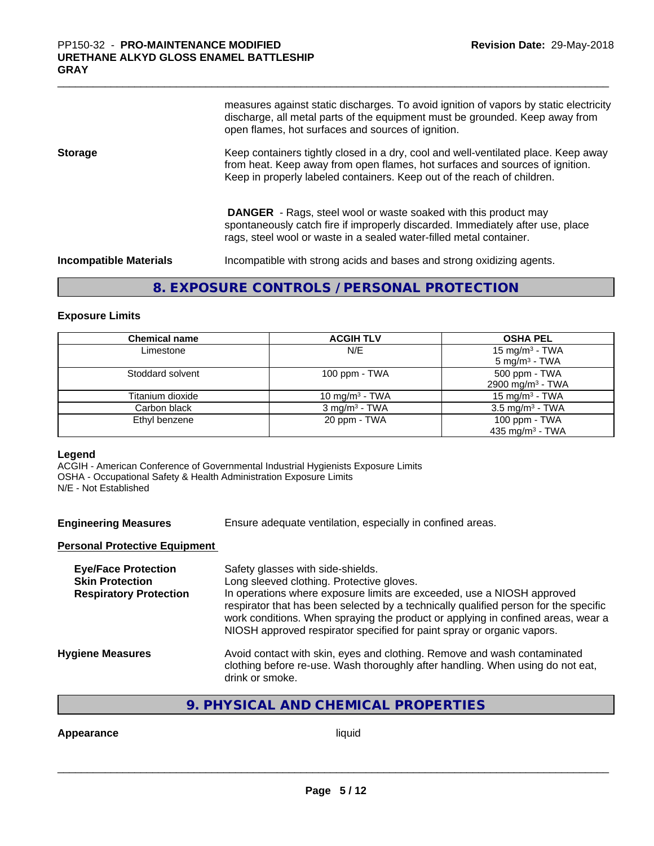measures against static discharges. To avoid ignition of vapors by static electricity discharge, all metal parts of the equipment must be grounded. Keep away from open flames, hot surfaces and sources of ignition.

**Storage** Keep containers tightly closed in a dry, cool and well-ventilated place. Keep away from heat. Keep away from open flames, hot surfaces and sources of ignition. Keep in properly labeled containers. Keep out of the reach of children.

> **DANGER** - Rags, steel wool or waste soaked with this product may spontaneously catch fire if improperly discarded. Immediately after use, place rags, steel wool or waste in a sealed water-filled metal container.

**Incompatible Materials Incompatible with strong acids and bases and strong oxidizing agents.** 

## **8. EXPOSURE CONTROLS / PERSONAL PROTECTION**

### **Exposure Limits**

| <b>Chemical name</b> | <b>ACGIH TLV</b>         | <b>OSHA PEL</b>              |
|----------------------|--------------------------|------------------------------|
| Limestone            | N/E                      | 15 mg/m <sup>3</sup> - TWA   |
|                      |                          | $5 \text{ mg/m}^3$ - TWA     |
| Stoddard solvent     | 100 ppm - $TWA$          | 500 ppm - TWA                |
|                      |                          | 2900 mg/m <sup>3</sup> - TWA |
| Titanium dioxide     | 10 mg/m $3$ - TWA        | 15 mg/m $3$ - TWA            |
| Carbon black         | $3 \text{ mg/m}^3$ - TWA | $3.5 \text{ mg/m}^3$ - TWA   |
| Ethyl benzene        | 20 ppm - TWA             | 100 ppm - TWA                |
|                      |                          | 435 mg/m <sup>3</sup> - TWA  |

#### **Legend**

ACGIH - American Conference of Governmental Industrial Hygienists Exposure Limits OSHA - Occupational Safety & Health Administration Exposure Limits N/E - Not Established

**Engineering Measures** Ensure adequate ventilation, especially in confined areas.

## **Personal Protective Equipment**

| <b>Eye/Face Protection</b><br><b>Skin Protection</b><br><b>Respiratory Protection</b> | Safety glasses with side-shields.<br>Long sleeved clothing. Protective gloves.<br>In operations where exposure limits are exceeded, use a NIOSH approved<br>respirator that has been selected by a technically qualified person for the specific<br>work conditions. When spraying the product or applying in confined areas, wear a<br>NIOSH approved respirator specified for paint spray or organic vapors. |
|---------------------------------------------------------------------------------------|----------------------------------------------------------------------------------------------------------------------------------------------------------------------------------------------------------------------------------------------------------------------------------------------------------------------------------------------------------------------------------------------------------------|
| <b>Hygiene Measures</b>                                                               | Avoid contact with skin, eyes and clothing. Remove and wash contaminated<br>clothing before re-use. Wash thoroughly after handling. When using do not eat,<br>drink or smoke.                                                                                                                                                                                                                                  |

## **9. PHYSICAL AND CHEMICAL PROPERTIES**

**Appearance** liquid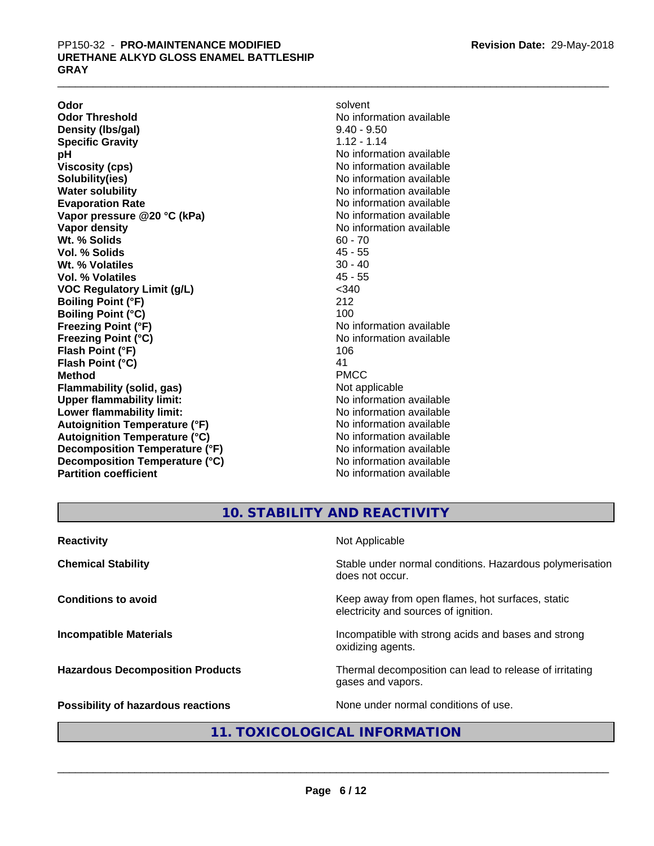**Odor** solvent **Odor Threshold** No information available **Density (lbs/gal)** 9.40 - 9.50 **Specific Gravity** 1.12 - 1.14<br> **pH** No informa **pH**<br>
Viscosity (cps) The Contract of the Contract of No information available<br>
No information available **Solubility(ies)** No information available in the solution of the solution of the solution available in the solution of the solution of the solution of the solution of the solution of the solution of the solution of the so **Water solubility** No information available **Evaporation Rate No information available No information available Vapor pressure @20 °C (kPa)** No information available **Vapor density No information available No** information available **Wt. % Solids** 60 - 70<br> **Vol. % Solids** 45 - 55 **Vol. % Solids Wt. % Volatiles** 30 - 40 **Vol. % Volatiles** 45 - 55 **VOC Regulatory Limit (g/L)** <340 **Boiling Point (°F)** 212 **Boiling Point (°C)** 100<br> **Preezing Point (°F)** No i **Freezing Point (°C)** The state of the Monometer of Noinformation available **Flash Point (°F)** 106 **Flash Point (°C)** 41 **Method** PMCC **Flammability (solid, gas)** Not applicable **Upper flammability limit:** No information available **Lower flammability limit:** No information available **Lower** flammability limit: **Autoignition Temperature (°F)** No information available **Autoignition Temperature (°C)** No information available **Decomposition Temperature (°F)** No information available **Decomposition Temperature (°C)** No information available **Partition coefficient** No information available

**Viscosity (cps)** No information available **Freezing Point (°F)** No information available

## **10. STABILITY AND REACTIVITY**

| <b>Reactivity</b>                         | Not Applicable                                                                           |
|-------------------------------------------|------------------------------------------------------------------------------------------|
| <b>Chemical Stability</b>                 | Stable under normal conditions. Hazardous polymerisation<br>does not occur.              |
| <b>Conditions to avoid</b>                | Keep away from open flames, hot surfaces, static<br>electricity and sources of ignition. |
| <b>Incompatible Materials</b>             | Incompatible with strong acids and bases and strong<br>oxidizing agents.                 |
| <b>Hazardous Decomposition Products</b>   | Thermal decomposition can lead to release of irritating<br>gases and vapors.             |
| <b>Possibility of hazardous reactions</b> | None under normal conditions of use.                                                     |

## **11. TOXICOLOGICAL INFORMATION**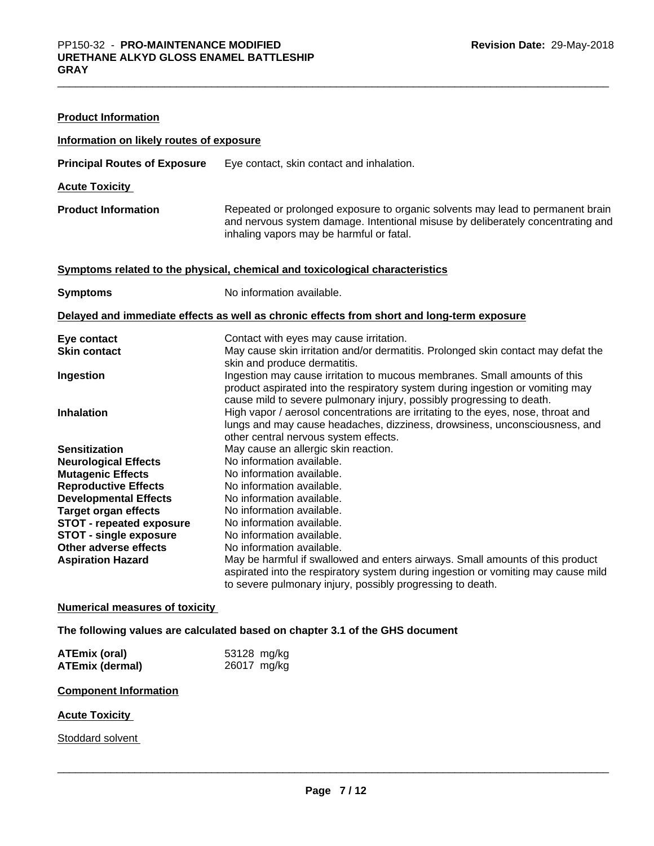| <b>Product Information</b>               |                                                                                                                                                                                                                                                                                  |
|------------------------------------------|----------------------------------------------------------------------------------------------------------------------------------------------------------------------------------------------------------------------------------------------------------------------------------|
| Information on likely routes of exposure |                                                                                                                                                                                                                                                                                  |
| <b>Principal Routes of Exposure</b>      | Eye contact, skin contact and inhalation.                                                                                                                                                                                                                                        |
| <b>Acute Toxicity</b>                    |                                                                                                                                                                                                                                                                                  |
| <b>Product Information</b>               | Repeated or prolonged exposure to organic solvents may lead to permanent brain<br>and nervous system damage. Intentional misuse by deliberately concentrating and<br>inhaling vapors may be harmful or fatal.                                                                    |
|                                          | Symptoms related to the physical, chemical and toxicological characteristics                                                                                                                                                                                                     |
| <b>Symptoms</b>                          | No information available.                                                                                                                                                                                                                                                        |
|                                          | Delayed and immediate effects as well as chronic effects from short and long-term exposure                                                                                                                                                                                       |
| Eye contact                              | Contact with eyes may cause irritation.                                                                                                                                                                                                                                          |
| <b>Skin contact</b>                      | May cause skin irritation and/or dermatitis. Prolonged skin contact may defat the                                                                                                                                                                                                |
| Ingestion                                | skin and produce dermatitis.<br>Ingestion may cause irritation to mucous membranes. Small amounts of this<br>product aspirated into the respiratory system during ingestion or vomiting may                                                                                      |
| <b>Inhalation</b>                        | cause mild to severe pulmonary injury, possibly progressing to death.<br>High vapor / aerosol concentrations are irritating to the eyes, nose, throat and<br>lungs and may cause headaches, dizziness, drowsiness, unconsciousness, and<br>other central nervous system effects. |
| <b>Sensitization</b>                     | May cause an allergic skin reaction.                                                                                                                                                                                                                                             |
| <b>Neurological Effects</b>              | No information available.                                                                                                                                                                                                                                                        |
| <b>Mutagenic Effects</b>                 | No information available.                                                                                                                                                                                                                                                        |
| <b>Reproductive Effects</b>              | No information available.                                                                                                                                                                                                                                                        |
| <b>Developmental Effects</b>             | No information available.                                                                                                                                                                                                                                                        |
| <b>Target organ effects</b>              | No information available.                                                                                                                                                                                                                                                        |
| <b>STOT - repeated exposure</b>          | No information available.                                                                                                                                                                                                                                                        |
| <b>STOT - single exposure</b>            | No information available.                                                                                                                                                                                                                                                        |
| Other adverse effects                    | No information available.                                                                                                                                                                                                                                                        |
| <b>Aspiration Hazard</b>                 | May be harmful if swallowed and enters airways. Small amounts of this product<br>aspirated into the respiratory system during ingestion or vomiting may cause mild<br>to severe pulmonary injury, possibly progressing to death.                                                 |

## **Numerical measures of toxicity**

**The following values are calculated based on chapter 3.1 of the GHS document**

| <b>ATEmix (oral)</b>   | 53128 mg/kg |
|------------------------|-------------|
| <b>ATEmix (dermal)</b> | 26017 mg/kg |

### **Component Information**

## **Acute Toxicity**

Stoddard solvent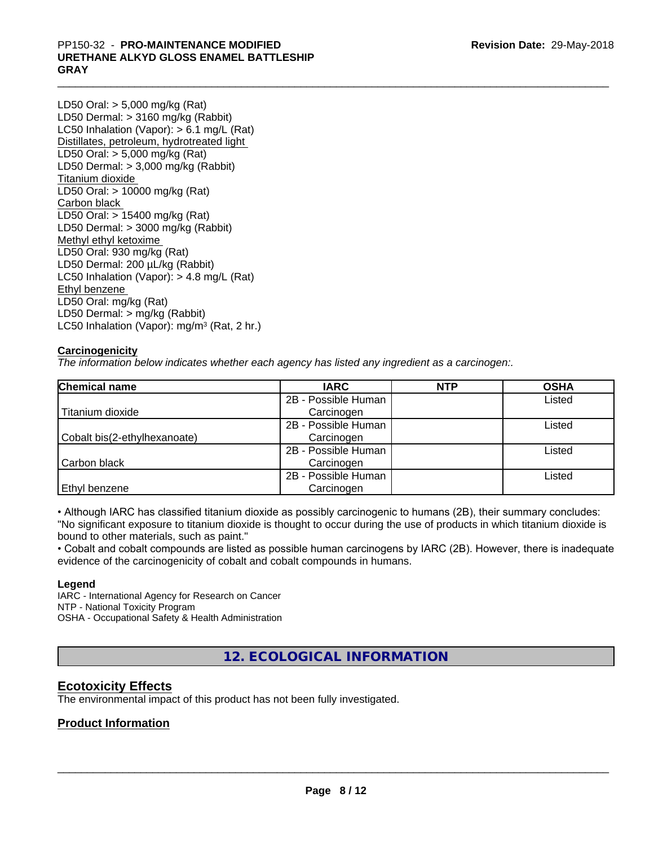# PP150-32 - **PRO-MAINTENANCE MODIFIED**<br>URETHANE ALKYD GLOSS ENAMEL BATTLESHIP<br>GRAY **URETHANE ALKYD GLOSS ENAMEL BATTLESHIP GRAY**

LD50 Oral: > 5,000 mg/kg (Rat) LD50 Dermal: > 3160 mg/kg (Rabbit) LC50 Inhalation (Vapor): > 6.1 mg/L (Rat) Distillates, petroleum, hydrotreated light LD50 Oral: > 5,000 mg/kg (Rat) LD50 Dermal: > 3,000 mg/kg (Rabbit) Titanium dioxide LD50 Oral: > 10000 mg/kg (Rat) Carbon black LD50 Oral: > 15400 mg/kg (Rat) LD50 Dermal: > 3000 mg/kg (Rabbit) Methyl ethyl ketoxime LD50 Oral: 930 mg/kg (Rat) LD50 Dermal: 200 µL/kg (Rabbit) LC50 Inhalation (Vapor): > 4.8 mg/L (Rat) Ethyl benzene LD50 Oral: mg/kg (Rat) LD50 Dermal: > mg/kg (Rabbit) LC50 Inhalation (Vapor): mg/m<sup>3</sup> (Rat, 2 hr.)

## **Carcinogenicity**

*The information below indicateswhether each agency has listed any ingredient as a carcinogen:.*

| <b>Chemical name</b>         | <b>IARC</b>         | <b>NTP</b> | <b>OSHA</b> |
|------------------------------|---------------------|------------|-------------|
|                              | 2B - Possible Human |            | Listed      |
| Titanium dioxide             | Carcinogen          |            |             |
|                              | 2B - Possible Human |            | Listed      |
| Cobalt bis(2-ethylhexanoate) | Carcinogen          |            |             |
|                              | 2B - Possible Human |            | Listed      |
| Carbon black                 | Carcinogen          |            |             |
|                              | 2B - Possible Human |            | Listed      |
| Ethyl benzene                | Carcinogen          |            |             |

• Although IARC has classified titanium dioxide as possibly carcinogenic to humans (2B), their summary concludes: "No significant exposure to titanium dioxide is thought to occur during the use of products in which titanium dioxide is bound to other materials, such as paint."

• Cobalt and cobalt compounds are listed as possible human carcinogens by IARC (2B). However, there is inadequate evidence of the carcinogenicity of cobalt and cobalt compounds in humans.

## **Legend**

IARC - International Agency for Research on Cancer NTP - National Toxicity Program OSHA - Occupational Safety & Health Administration

**12. ECOLOGICAL INFORMATION**

## **Ecotoxicity Effects**

The environmental impact of this product has not been fully investigated.

## **Product Information**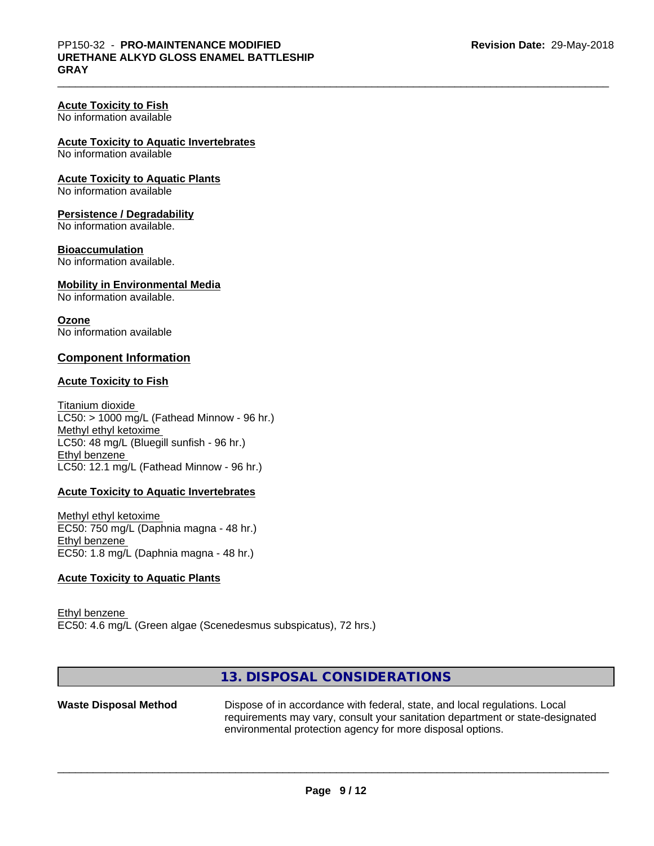#### **Acute Toxicity to Fish** No information available

**Acute Toxicity to Aquatic Invertebrates**

No information available

**Acute Toxicity to Aquatic Plants**

No information available

## **Persistence / Degradability**

No information available.

### **Bioaccumulation**

No information available.

## **Mobility in Environmental Media**

No information available.

### **Ozone**

No information available

## **Component Information**

## **Acute Toxicity to Fish**

Titanium dioxide  $LCS0:$  > 1000 mg/L (Fathead Minnow - 96 hr.) Methyl ethyl ketoxime LC50: 48 mg/L (Bluegill sunfish - 96 hr.) Ethyl benzene LC50: 12.1 mg/L (Fathead Minnow - 96 hr.)

## **Acute Toxicity to Aquatic Invertebrates**

Methyl ethyl ketoxime EC50: 750 mg/L (Daphnia magna - 48 hr.) Ethyl benzene EC50: 1.8 mg/L (Daphnia magna - 48 hr.)

### **Acute Toxicity to Aquatic Plants**

Ethyl benzene EC50: 4.6 mg/L (Green algae (Scenedesmus subspicatus), 72 hrs.)

## **13. DISPOSAL CONSIDERATIONS**

Waste Disposal Method Dispose of in accordance with federal, state, and local regulations. Local requirements may vary, consult your sanitation department or state-designated environmental protection agency for more disposal options.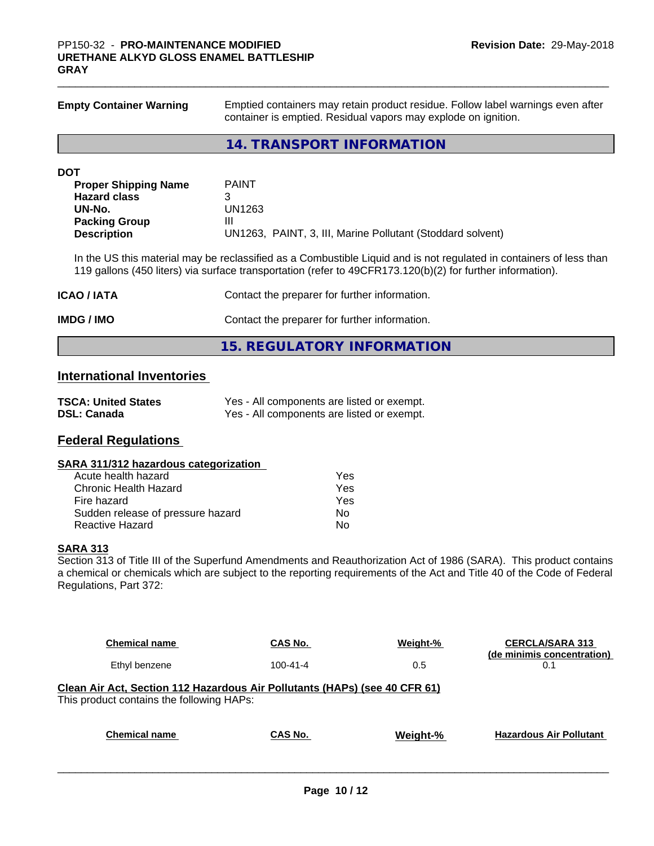| <b>Empty Container Warning</b>        | Emptied containers may retain product residue. Follow label warnings even after<br>container is emptied. Residual vapors may explode on ignition.                                                                                 |  |  |  |  |
|---------------------------------------|-----------------------------------------------------------------------------------------------------------------------------------------------------------------------------------------------------------------------------------|--|--|--|--|
|                                       | <b>14. TRANSPORT INFORMATION</b>                                                                                                                                                                                                  |  |  |  |  |
| <b>DOT</b>                            |                                                                                                                                                                                                                                   |  |  |  |  |
| <b>Proper Shipping Name</b>           | <b>PAINT</b>                                                                                                                                                                                                                      |  |  |  |  |
| <b>Hazard class</b>                   | 3                                                                                                                                                                                                                                 |  |  |  |  |
| UN-No.                                | <b>UN1263</b>                                                                                                                                                                                                                     |  |  |  |  |
| <b>Packing Group</b>                  | Ш                                                                                                                                                                                                                                 |  |  |  |  |
| <b>Description</b>                    | UN1263, PAINT, 3, III, Marine Pollutant (Stoddard solvent)                                                                                                                                                                        |  |  |  |  |
|                                       | In the US this material may be reclassified as a Combustible Liquid and is not regulated in containers of less than<br>119 gallons (450 liters) via surface transportation (refer to 49CFR173.120(b)(2) for further information). |  |  |  |  |
| <b>ICAO / IATA</b>                    | Contact the preparer for further information.                                                                                                                                                                                     |  |  |  |  |
| IMDG / IMO                            | Contact the preparer for further information.                                                                                                                                                                                     |  |  |  |  |
|                                       | <b>15. REGULATORY INFORMATION</b>                                                                                                                                                                                                 |  |  |  |  |
| <b>International Inventories</b>      |                                                                                                                                                                                                                                   |  |  |  |  |
| <b>TSCA: United States</b>            | Yes - All components are listed or exempt.                                                                                                                                                                                        |  |  |  |  |
| DSL: Canada                           | Yes - All components are listed or exempt.                                                                                                                                                                                        |  |  |  |  |
|                                       |                                                                                                                                                                                                                                   |  |  |  |  |
| <b>Federal Regulations</b>            |                                                                                                                                                                                                                                   |  |  |  |  |
| SARA 311/312 hazardous categorization |                                                                                                                                                                                                                                   |  |  |  |  |
| Acute health hazard                   | Yes                                                                                                                                                                                                                               |  |  |  |  |
| <b>Chronic Health Hazard</b>          | <b>Yes</b>                                                                                                                                                                                                                        |  |  |  |  |
| Fire hazard                           | Yes                                                                                                                                                                                                                               |  |  |  |  |
| Sudden release of pressure hazard     | No                                                                                                                                                                                                                                |  |  |  |  |
| Reactive Hazard                       | No                                                                                                                                                                                                                                |  |  |  |  |

### **SARA 313**

Section 313 of Title III of the Superfund Amendments and Reauthorization Act of 1986 (SARA). This product contains a chemical or chemicals which are subject to the reporting requirements of the Act and Title 40 of the Code of Federal Regulations, Part 372:

| <b>Chemical name</b>                                                                                                    | CAS No.        | Weight-% | <b>CERCLA/SARA 313</b><br>(de minimis concentration) |  |  |  |  |
|-------------------------------------------------------------------------------------------------------------------------|----------------|----------|------------------------------------------------------|--|--|--|--|
| Ethyl benzene                                                                                                           | $100 - 41 - 4$ | 0.5      | 0.1                                                  |  |  |  |  |
| Clean Air Act, Section 112 Hazardous Air Pollutants (HAPs) (see 40 CFR 61)<br>This product contains the following HAPs: |                |          |                                                      |  |  |  |  |
|                                                                                                                         |                |          |                                                      |  |  |  |  |
| <b>Chemical name</b>                                                                                                    | CAS No.        | Weight-% | <b>Hazardous Air Pollutant</b>                       |  |  |  |  |
|                                                                                                                         |                |          |                                                      |  |  |  |  |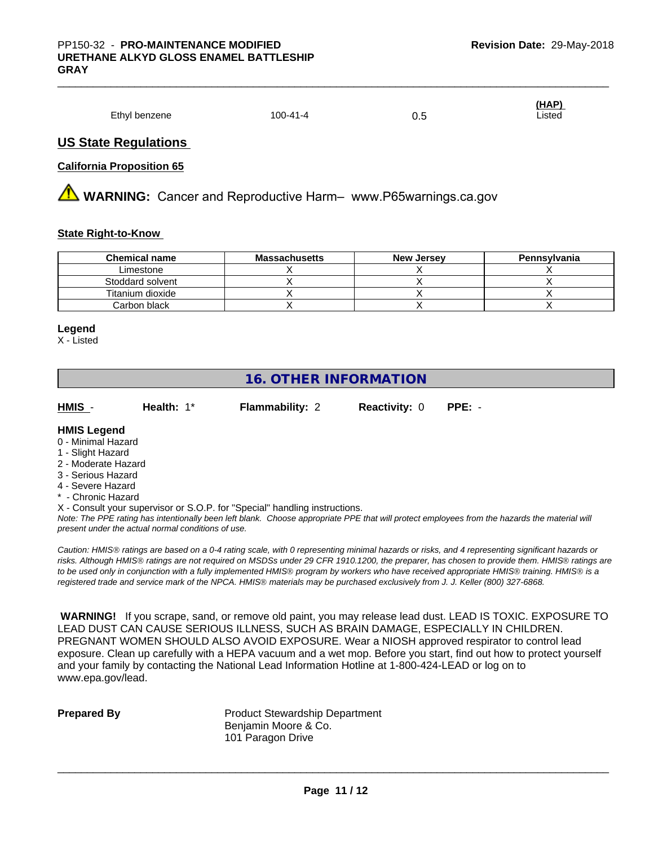|               |          |            | (HAP)       |
|---------------|----------|------------|-------------|
| Ethyl benzene | 100-41-4 | ∪.∪<br>- - | Listed<br>. |

## **US State Regulations**

## **California Proposition 65**

**AN** WARNING: Cancer and Reproductive Harm– www.P65warnings.ca.gov

## **State Right-to-Know**

| <b>Chemical name</b> | <b>Massachusetts</b> | <b>New Jersey</b> | Pennsylvania |
|----------------------|----------------------|-------------------|--------------|
| Limestone            |                      |                   |              |
| Stoddard solvent     |                      |                   |              |
| Titanium dioxide     |                      |                   |              |
| Carbon black         |                      |                   |              |

#### **Legend**

X - Listed

# **16. OTHER INFORMATION**

**HMIS** - **Health:** 1\* **Flammability:** 2 **Reactivity:** 0 **PPE:** -

### **HMIS Legend**

- 0 Minimal Hazard
- 1 Slight Hazard
- 2 Moderate Hazard
- 3 Serious Hazard
- 4 Severe Hazard
- Chronic Hazard

X - Consult your supervisor or S.O.P. for "Special" handling instructions.

*Note: The PPE rating has intentionally been left blank. Choose appropriate PPE that will protect employees from the hazards the material will present under the actual normal conditions of use.*

*Caution: HMISÒ ratings are based on a 0-4 rating scale, with 0 representing minimal hazards or risks, and 4 representing significant hazards or risks. Although HMISÒ ratings are not required on MSDSs under 29 CFR 1910.1200, the preparer, has chosen to provide them. HMISÒ ratings are to be used only in conjunction with a fully implemented HMISÒ program by workers who have received appropriate HMISÒ training. HMISÒ is a registered trade and service mark of the NPCA. HMISÒ materials may be purchased exclusively from J. J. Keller (800) 327-6868.*

 **WARNING!** If you scrape, sand, or remove old paint, you may release lead dust. LEAD IS TOXIC. EXPOSURE TO LEAD DUST CAN CAUSE SERIOUS ILLNESS, SUCH AS BRAIN DAMAGE, ESPECIALLY IN CHILDREN. PREGNANT WOMEN SHOULD ALSO AVOID EXPOSURE.Wear a NIOSH approved respirator to control lead exposure. Clean up carefully with a HEPA vacuum and a wet mop. Before you start, find out how to protect yourself and your family by contacting the National Lead Information Hotline at 1-800-424-LEAD or log on to www.epa.gov/lead.

**Prepared By** Product Stewardship Department Benjamin Moore & Co. 101 Paragon Drive